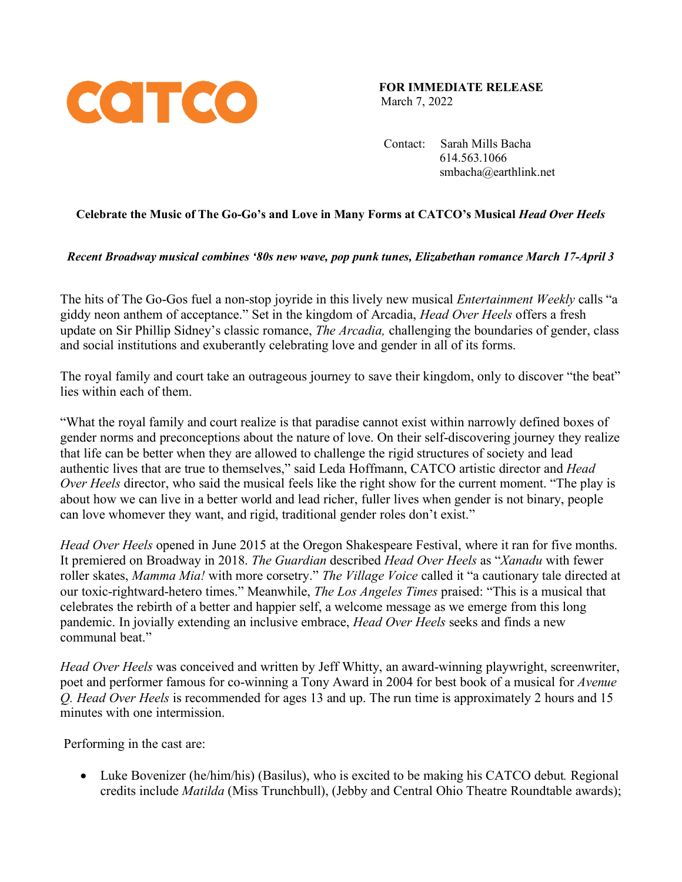

**FOR IMMEDIATE RELEASE** March 7, 2022

 Contact: Sarah Mills Bacha 614.563.1066 smbacha@earthlink.net

# **Celebrate the Music of The Go-Go's and Love in Many Forms at CATCO's Musical** *Head Over Heels*

## *Recent Broadway musical combines '80s new wave, pop punk tunes, Elizabethan romance March 17-April 3*

The hits of The Go-Gos fuel a non-stop joyride in this lively new musical *Entertainment Weekly* calls "a giddy neon anthem of acceptance." Set in the kingdom of Arcadia, *Head Over Heels* offers a fresh update on Sir Phillip Sidney's classic romance, *The Arcadia,* challenging the boundaries of gender, class and social institutions and exuberantly celebrating love and gender in all of its forms.

The royal family and court take an outrageous journey to save their kingdom, only to discover "the beat" lies within each of them.

"What the royal family and court realize is that paradise cannot exist within narrowly defined boxes of gender norms and preconceptions about the nature of love. On their self-discovering journey they realize that life can be better when they are allowed to challenge the rigid structures of society and lead authentic lives that are true to themselves," said Leda Hoffmann, CATCO artistic director and *Head Over Heels* director, who said the musical feels like the right show for the current moment. "The play is about how we can live in a better world and lead richer, fuller lives when gender is not binary, people can love whomever they want, and rigid, traditional gender roles don't exist."

*Head Over Heels* opened in June 2015 at the Oregon Shakespeare Festival, where it ran for five months. It premiered on Broadway in 2018. *The Guardian* described *Head Over Heels* as "*Xanadu* with fewer roller skates, *Mamma Mia!* with more corsetry." *The Village Voice* called it "a cautionary tale directed at our toxic-rightward-hetero times." Meanwhile, *The Los Angeles Times* praised: "This is a musical that celebrates the rebirth of a better and happier self, a welcome message as we emerge from this long pandemic. In jovially extending an inclusive embrace, *Head Over Heels* seeks and finds a new communal beat."

*Head Over Heels* was conceived and written by Jeff Whitty, an award-winning playwright, screenwriter, poet and performer famous for co-winning a Tony Award in 2004 for best book of a musical for *Avenue Q. Head Over Heels* is recommended for ages 13 and up. The run time is approximately 2 hours and 15 minutes with one intermission.

Performing in the cast are:

• Luke Bovenizer (he/him/his) (Basilus), who is excited to be making his CATCO debut*.* Regional credits include *Matilda* (Miss Trunchbull), (Jebby and Central Ohio Theatre Roundtable awards);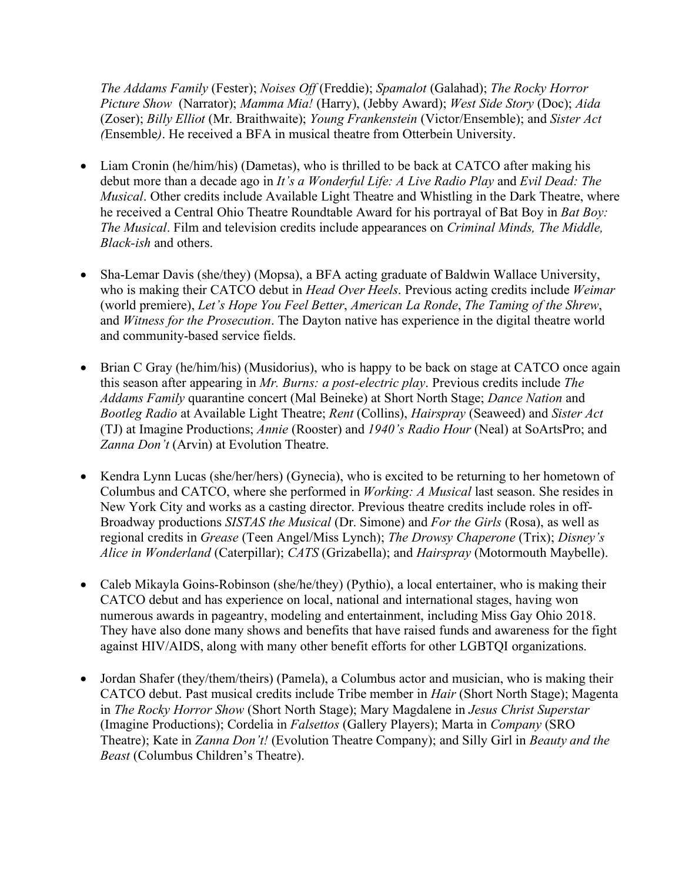*The Addams Family* (Fester); *Noises Off* (Freddie); *Spamalot* (Galahad); *The Rocky Horror Picture Show* (Narrator); *Mamma Mia!* (Harry), (Jebby Award); *West Side Story* (Doc); *Aida*  (Zoser); *Billy Elliot* (Mr. Braithwaite); *Young Frankenstein* (Victor/Ensemble); and *Sister Act (*Ensemble*)*. He received a BFA in musical theatre from Otterbein University.

- Liam Cronin (he/him/his) (Dametas), who is thrilled to be back at CATCO after making his debut more than a decade ago in *It's a Wonderful Life: A Live Radio Play* and *Evil Dead: The Musical*. Other credits include Available Light Theatre and Whistling in the Dark Theatre, where he received a Central Ohio Theatre Roundtable Award for his portrayal of Bat Boy in *Bat Boy: The Musical*. Film and television credits include appearances on *Criminal Minds, The Middle, Black-ish* and others.
- Sha-Lemar Davis (she/they) (Mopsa), a BFA acting graduate of Baldwin Wallace University, who is making their CATCO debut in *Head Over Heels*. Previous acting credits include *Weimar*  (world premiere), *Let's Hope You Feel Better*, *American La Ronde*, *The Taming of the Shrew*, and *Witness for the Prosecution*. The Dayton native has experience in the digital theatre world and community-based service fields.
- Brian C Gray (he/him/his) (Musidorius), who is happy to be back on stage at CATCO once again this season after appearing in *Mr. Burns: a post-electric play*. Previous credits include *The Addams Family* quarantine concert (Mal Beineke) at Short North Stage; *Dance Nation* and *Bootleg Radio* at Available Light Theatre; *Rent* (Collins), *Hairspray* (Seaweed) and *Sister Act* (TJ) at Imagine Productions; *Annie* (Rooster) and *1940's Radio Hour* (Neal) at SoArtsPro; and *Zanna Don't* (Arvin) at Evolution Theatre.
- Kendra Lynn Lucas (she/her/hers) (Gynecia), who is excited to be returning to her hometown of Columbus and CATCO, where she performed in *Working: A Musical* last season. She resides in New York City and works as a casting director. Previous theatre credits include roles in off-Broadway productions *SISTAS the Musical* (Dr. Simone) and *For the Girls* (Rosa), as well as regional credits in *Grease* (Teen Angel/Miss Lynch); *The Drowsy Chaperone* (Trix); *Disney's Alice in Wonderland* (Caterpillar); *CATS* (Grizabella); and *Hairspray* (Motormouth Maybelle).
- Caleb Mikayla Goins-Robinson (she/he/they) (Pythio), a local entertainer, who is making their CATCO debut and has experience on local, national and international stages, having won numerous awards in pageantry, modeling and entertainment, including Miss Gay Ohio 2018. They have also done many shows and benefits that have raised funds and awareness for the fight against HIV/AIDS, along with many other benefit efforts for other LGBTQI organizations.
- Jordan Shafer (they/them/theirs) (Pamela), a Columbus actor and musician, who is making their CATCO debut. Past musical credits include Tribe member in *Hair* (Short North Stage); Magenta in *The Rocky Horror Show* (Short North Stage); Mary Magdalene in *Jesus Christ Superstar* (Imagine Productions); Cordelia in *Falsettos* (Gallery Players); Marta in *Company* (SRO Theatre); Kate in *Zanna Don't!* (Evolution Theatre Company); and Silly Girl in *Beauty and the Beast* (Columbus Children's Theatre).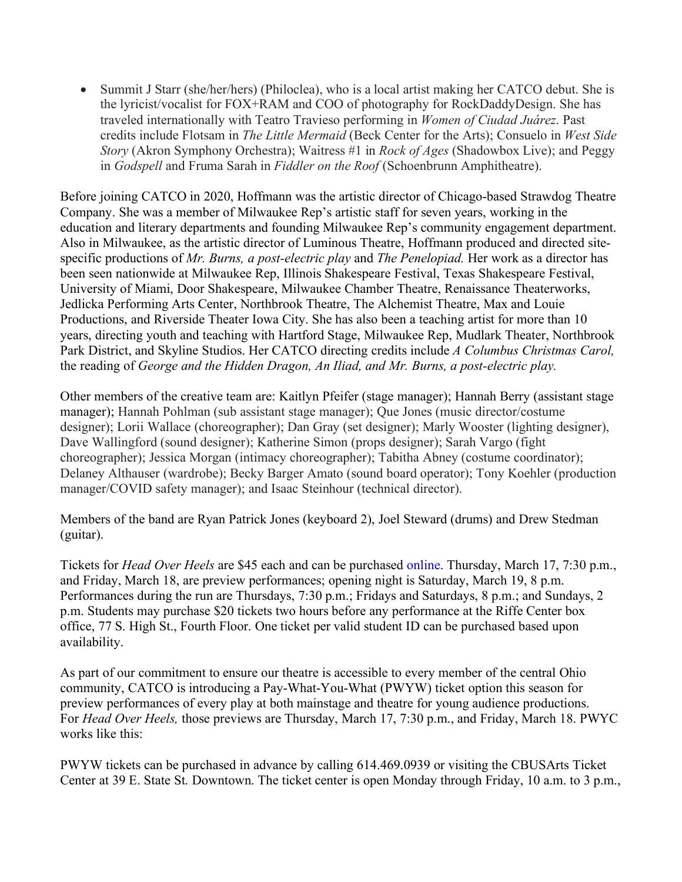• Summit J Starr (she/her/hers) (Philoclea), who is a local artist making her CATCO debut. She is the lyricist/vocalist for FOX+RAM and COO of photography for RockDaddyDesign. She has traveled internationally with Teatro Travieso performing in *Women of Ciudad Juárez*. Past credits include Flotsam in *The Little Mermaid* (Beck Center for the Arts); Consuelo in *West Side Story* (Akron Symphony Orchestra); Waitress #1 in *Rock of Ages* (Shadowbox Live); and Peggy in *Godspell* and Fruma Sarah in *Fiddler on the Roof* (Schoenbrunn Amphitheatre).

Before joining CATCO in 2020, Hoffmann was the artistic director of Chicago-based Strawdog Theatre Company. She was a member of Milwaukee Rep's artistic staff for seven years, working in the education and literary departments and founding Milwaukee Rep's community engagement department. Also in Milwaukee, as the artistic director of Luminous Theatre, Hoffmann produced and directed sitespecific productions of *Mr. Burns, a post-electric play* and *The Penelopiad.* Her work as a director has been seen nationwide at Milwaukee Rep, Illinois Shakespeare Festival, Texas Shakespeare Festival, University of Miami, Door Shakespeare, Milwaukee Chamber Theatre, Renaissance Theaterworks, Jedlicka Performing Arts Center, Northbrook Theatre, The Alchemist Theatre, Max and Louie Productions, and Riverside Theater Iowa City. She has also been a teaching artist for more than 10 years, directing youth and teaching with Hartford Stage, Milwaukee Rep, Mudlark Theater, Northbrook Park District, and Skyline Studios. Her CATCO directing credits include *A Columbus Christmas Carol,*  the reading of *George and the Hidden Dragon, An Iliad, and Mr. Burns, a post-electric play.*

Other members of the creative team are: Kaitlyn Pfeifer (stage manager); Hannah Berry (assistant stage manager); Hannah Pohlman (sub assistant stage manager); Que Jones (music director/costume designer); Lorii Wallace (choreographer); Dan Gray (set designer); Marly Wooster (lighting designer), Dave Wallingford (sound designer); Katherine Simon (props designer); Sarah Vargo (fight choreographer); Jessica Morgan (intimacy choreographer); Tabitha Abney (costume coordinator); Delaney Althauser (wardrobe); Becky Barger Amato (sound board operator); Tony Koehler (production manager/COVID safety manager); and Isaac Steinhour (technical director).

Members of the band are Ryan Patrick Jones (keyboard 2), Joel Steward (drums) and Drew Stedman (guitar).

Tickets for *Head Over Heels* are \$45 each and can be purchased online. Thursday, March 17, 7:30 p.m., and Friday, March 18, are preview performances; opening night is Saturday, March 19, 8 p.m. Performances during the run are Thursdays, 7:30 p.m.; Fridays and Saturdays, 8 p.m.; and Sundays, 2 p.m. Students may purchase \$20 tickets two hours before any performance at the Riffe Center box office, 77 S. High St., Fourth Floor. One ticket per valid student ID can be purchased based upon availability.

As part of our commitment to ensure our theatre is accessible to every member of the central Ohio community, CATCO is introducing a Pay-What-You-What (PWYW) ticket option this season for preview performances of every play at both mainstage and theatre for young audience productions. For *Head Over Heels,* those previews are Thursday, March 17, 7:30 p.m., and Friday, March 18. PWYC works like this:

PWYW tickets can be purchased in advance by calling 614.469.0939 or visiting the CBUSArts Ticket Center at 39 E. State St. Downtown. The ticket center is open Monday through Friday, 10 a.m. to 3 p.m.,